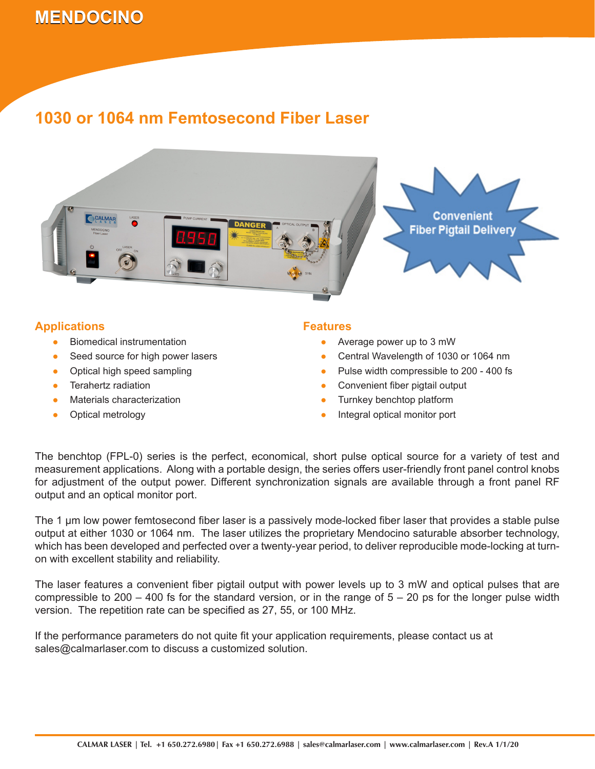# **MENDOCINO 1030 or 1064 nm Femtosecond Fiber Laser**

### **1030 or 1064 nm Femtosecond Fiber Laser**



### **Applications**

- Biomedical instrumentation ●
- Seed source for high power lasers ●
- Optical high speed sampling ●
- Terahertz radiation ●
- Materials characterization ●
- Optical metrology ●

#### **Features**

- Average power up to 3 mW
- Central Wavelength of 1030 or 1064 nm ●
- Pulse width compressible to 200 400 fs ●
- Convenient fiber pigtail output ●
- Turnkey benchtop platform ●
- Integral optical monitor port ●

The benchtop (FPL-0) series is the perfect, economical, short pulse optical source for a variety of test and measurement applications. Along with a portable design, the series offers user-friendly front panel control knobs for adjustment of the output power. Different synchronization signals are available through a front panel RF output and an optical monitor port.

The 1 µm low power femtosecond fiber laser is a passively mode-locked fiber laser that provides a stable pulse output at either 1030 or 1064 nm. The laser utilizes the proprietary Mendocino saturable absorber technology, which has been developed and perfected over a twenty-year period, to deliver reproducible mode-locking at turnon with excellent stability and reliability.

The laser features a convenient fiber pigtail output with power levels up to 3 mW and optical pulses that are compressible to  $200 - 400$  fs for the standard version, or in the range of  $5 - 20$  ps for the longer pulse width version. The repetition rate can be specified as 27, 55, or 100 MHz.

If the performance parameters do not quite fit your application requirements, please contact us at sales@calmarlaser.com to discuss a customized solution.